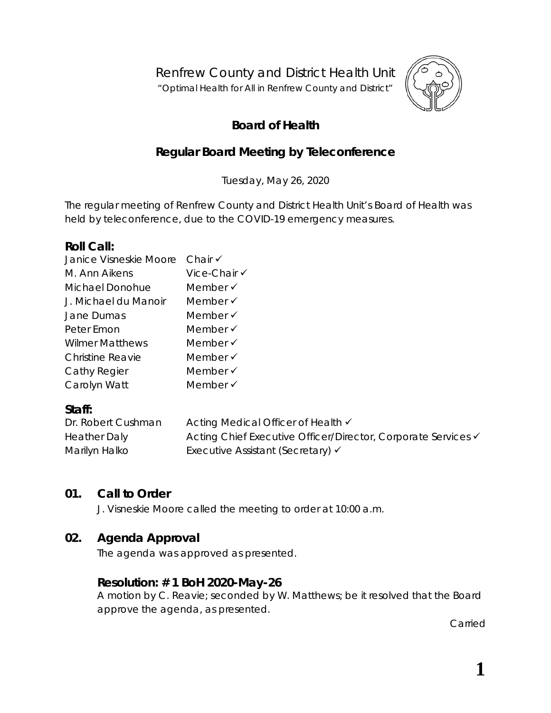Renfrew County and District Health Unit

"*Optimal Health for All in Renfrew County and District"*



# **Board of Health**

# **Regular Board Meeting by Teleconference**

Tuesday, May 26, 2020

The regular meeting of Renfrew County and District Health Unit's Board of Health was held by teleconference, due to the COVID-19 emergency measures.

### **Roll Call:**

| Janice Visneskie Moore  | Chair $\checkmark$  |
|-------------------------|---------------------|
| M. Ann Aikens           | Vice-Chair √        |
| Michael Donohue         | Member $\checkmark$ |
| J. Michael du Manoir    | Member $\checkmark$ |
| Jane Dumas              | Member $\checkmark$ |
| Peter Emon              | Member √            |
| <b>Wilmer Matthews</b>  | Member $\checkmark$ |
| <b>Christine Reavie</b> | Member √            |
| Cathy Regier            | Member $\checkmark$ |
| Carolyn Watt            | Member √            |

# **Staff:**

| Dr. Robert Cushman  | Acting Medical Officer of Health <del>V</del>                            |
|---------------------|--------------------------------------------------------------------------|
| <b>Heather Daly</b> | Acting Chief Executive Officer/Director, Corporate Services <del>V</del> |
| Marilyn Halko       | Executive Assistant (Secretary) √                                        |

# **01. Call to Order**

J. Visneskie Moore called the meeting to order at 10:00 a.m.

# **02. Agenda Approval**

The agenda was approved as presented.

# **Resolution: # 1 BoH 2020-May-26**

A motion by C. Reavie; seconded by W. Matthews; be it resolved that the Board approve the agenda, as presented.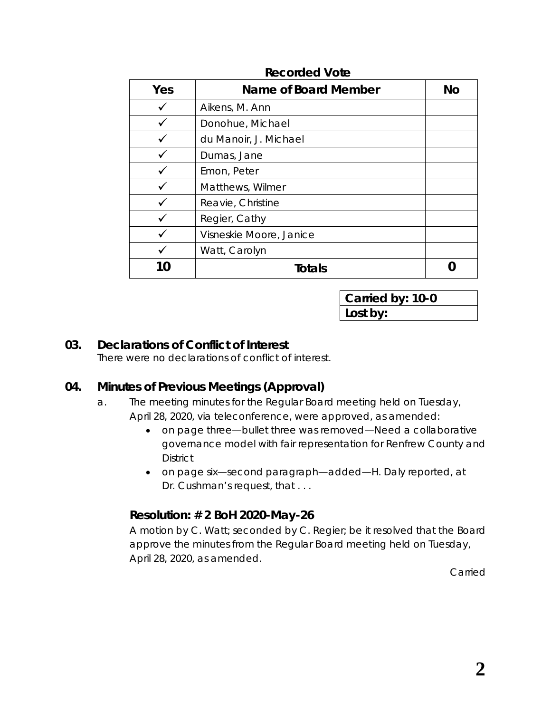| Yes | Name of Board Member    | No |
|-----|-------------------------|----|
|     | Aikens, M. Ann          |    |
|     | Donohue, Michael        |    |
|     | du Manoir, J. Michael   |    |
|     | Dumas, Jane             |    |
|     | Emon, Peter             |    |
|     | Matthews, Wilmer        |    |
|     | Reavie, Christine       |    |
|     | Regier, Cathy           |    |
|     | Visneskie Moore, Janice |    |
|     | Watt, Carolyn           |    |
|     | <b>Totals</b>           |    |

**Carried by: 10-0 Lost by:**

### **03. Declarations of Conflict of Interest**

There were no declarations of conflict of interest.

# **04. Minutes of Previous Meetings (Approval)**

- a. The meeting minutes for the Regular Board meeting held on Tuesday, April 28, 2020, via teleconference, were approved, as amended:
	- on page three—bullet three was removed—*Need a collaborative governance model with fair representation for Renfrew County and District*
	- on page six—second paragraph—added—H. Daly reported, at Dr. Cushman's request, that . . .

# **Resolution: # 2 BoH 2020-May-26**

A motion by C. Watt; seconded by C. Regier; be it resolved that the Board approve the minutes from the Regular Board meeting held on Tuesday, April 28, 2020, as amended.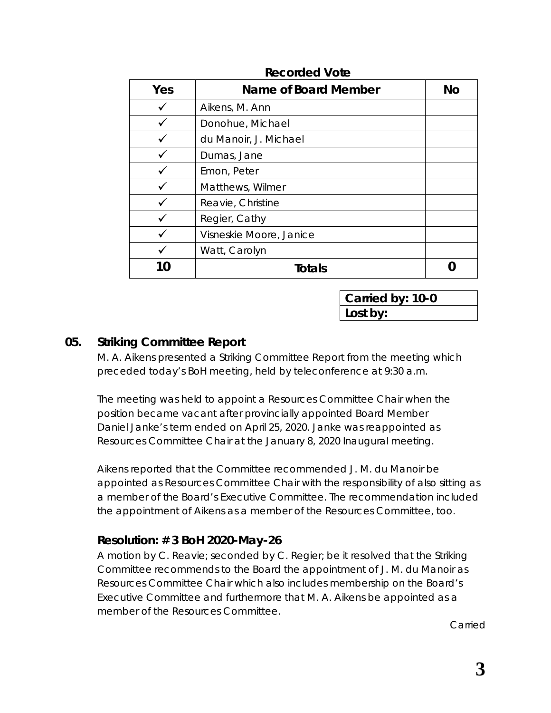| Yes | Name of Board Member    | No |
|-----|-------------------------|----|
|     | Aikens, M. Ann          |    |
|     | Donohue, Michael        |    |
|     | du Manoir, J. Michael   |    |
|     | Dumas, Jane             |    |
|     | Emon, Peter             |    |
|     | Matthews, Wilmer        |    |
|     | Reavie, Christine       |    |
|     | Regier, Cathy           |    |
|     | Visneskie Moore, Janice |    |
|     | Watt, Carolyn           |    |
|     | Totals                  |    |

**Carried by: 10-0 Lost by:**

### **05. Striking Committee Report**

M. A. Aikens presented a Striking Committee Report from the meeting which preceded today's BoH meeting, held by teleconference at 9:30 a.m.

The meeting was held to appoint a Resources Committee Chair when the position became vacant after provincially appointed Board Member Daniel Janke's term ended on April 25, 2020. Janke was reappointed as Resources Committee Chair at the January 8, 2020 Inaugural meeting.

Aikens reported that the Committee recommended J. M. du Manoir be appointed as Resources Committee Chair with the responsibility of also sitting as a member of the Board's Executive Committee. The recommendation included the appointment of Aikens as a member of the Resources Committee, too.

### **Resolution: # 3 BoH 2020-May-26**

A motion by C. Reavie; seconded by C. Regier; be it resolved that the Striking Committee recommends to the Board the appointment of J. M. du Manoir as Resources Committee Chair which also includes membership on the Board's Executive Committee and furthermore that M. A. Aikens be appointed as a member of the Resources Committee.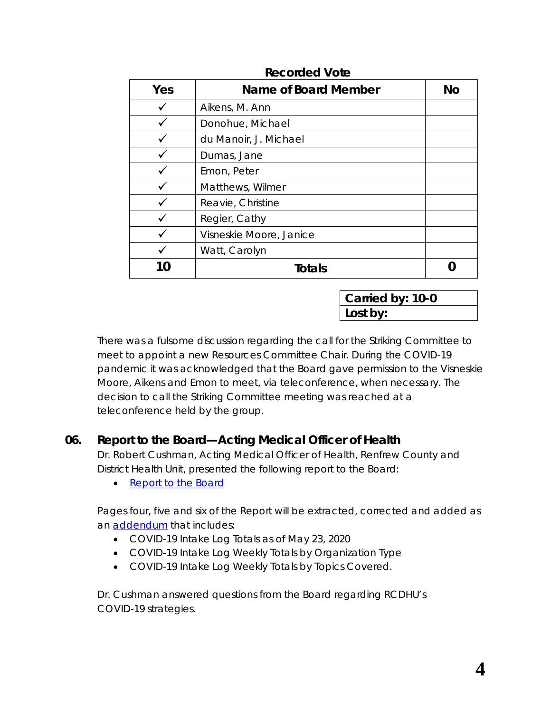| Yes | Name of Board Member    | <b>No</b> |
|-----|-------------------------|-----------|
|     | Aikens, M. Ann          |           |
|     | Donohue, Michael        |           |
|     | du Manoir, J. Michael   |           |
|     | Dumas, Jane             |           |
|     | Emon, Peter             |           |
|     | Matthews, Wilmer        |           |
|     | Reavie, Christine       |           |
|     | Regier, Cathy           |           |
|     | Visneskie Moore, Janice |           |
|     | Watt, Carolyn           |           |
|     | Totals                  |           |

**Carried by: 10-0 Lost by:**

There was a fulsome discussion regarding the call for the Striking Committee to meet to appoint a new Resources Committee Chair. During the COVID-19 pandemic it was acknowledged that the Board gave permission to the Visneskie Moore, Aikens and Emon to meet, via teleconference, when necessary. The decision to call the Striking Committee meeting was reached at a teleconference held by the group.

# **06. Report to the Board—Acting Medical Officer of Health**

Dr. Robert Cushman, Acting Medical Officer of Health, Renfrew County and District Health Unit, presented the following report to the Board:

• [Report to the Board](https://www.rcdhu.com/wp-content/uploads/2020/07/Report-to-the-Board-Dr.-Robert-Cushman-MOHA-2020-May-26.pdf)

Pages four, five and six of the Report will be extracted, corrected and added as an [addendum](https://www.rcdhu.com/wp-content/uploads/2020/07/Addendum-pages-4-5-and-6-Report-to-the-Board-2020-May-26.pdf) that includes:

- COVID-19 Intake Log Totals as of May 23, 2020
- COVID-19 Intake Log Weekly Totals by Organization Type
- COVID-19 Intake Log Weekly Totals by Topics Covered.

Dr. Cushman answered questions from the Board regarding RCDHU's COVID-19 strategies.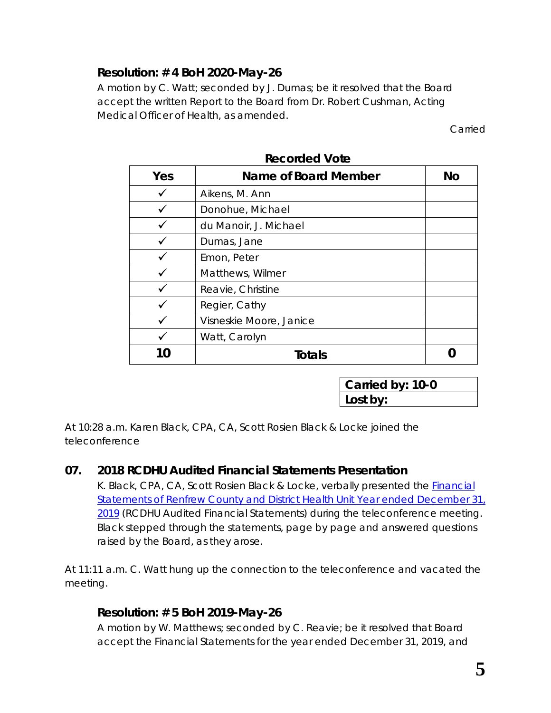# **Resolution: # 4 BoH 2020-May-26**

A motion by C. Watt; seconded by J. Dumas; be it resolved that the Board accept the written Report to the Board from Dr. Robert Cushman, Acting Medical Officer of Health, as amended.

Carried

| Yes | Name of Board Member    | <b>No</b> |
|-----|-------------------------|-----------|
|     | Aikens, M. Ann          |           |
|     | Donohue, Michael        |           |
|     | du Manoir, J. Michael   |           |
|     | Dumas, Jane             |           |
|     | Emon, Peter             |           |
|     | Matthews, Wilmer        |           |
|     | Reavie, Christine       |           |
|     | Regier, Cathy           |           |
|     | Visneskie Moore, Janice |           |
|     | Watt, Carolyn           |           |
| 10  | <b>Totals</b>           |           |

**Recorded Vote**

**Carried by: 10-0 Lost by:**

At 10:28 a.m. Karen Black, CPA, CA, Scott Rosien Black & Locke joined the teleconference

# **07. 2018 RCDHU Audited Financial Statements Presentation**

K. Black, CPA, CA, Scott Rosien Black & Locke, verbally presented the *[Financial](https://www.rcdhu.com/wp-content/uploads/2020/07/Financial-Statements-for-RCDHU-2019.pdf)  [Statements of Renfrew County and District Health Unit Year ended December 31,](https://www.rcdhu.com/wp-content/uploads/2020/07/Financial-Statements-for-RCDHU-2019.pdf)  [2019](https://www.rcdhu.com/wp-content/uploads/2020/07/Financial-Statements-for-RCDHU-2019.pdf)* (RCDHU Audited Financial Statements) during the teleconference meeting. Black stepped through the statements, page by page and answered questions raised by the Board, as they arose.

At 11:11 a.m. C. Watt hung up the connection to the teleconference and vacated the meeting.

# **Resolution: # 5 BoH 2019-May-26**

A motion by W. Matthews; seconded by C. Reavie; be it resolved that Board accept the Financial Statements for the year ended December 31, 2019, and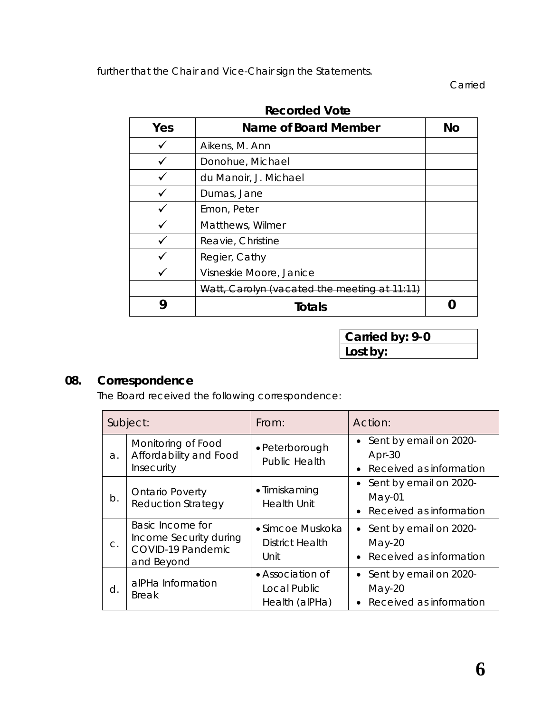further that the Chair and Vice-Chair sign the Statements.

Carried

| Yes | Name of Board Member                         | No |
|-----|----------------------------------------------|----|
|     | Aikens, M. Ann                               |    |
|     | Donohue, Michael                             |    |
|     | du Manoir, J. Michael                        |    |
|     | Dumas, Jane                                  |    |
|     | Emon, Peter                                  |    |
|     | Matthews, Wilmer                             |    |
|     | Reavie, Christine                            |    |
|     | Regier, Cathy                                |    |
|     | Visneskie Moore, Janice                      |    |
|     | Watt, Carolyn (vacated the meeting at 11:11) |    |
| g   | <b>Totals</b>                                |    |

**Recorded Vote**

**Carried by: 9-0 Lost by:**

# **08. Correspondence**

The Board received the following correspondence:

| Subject: |                                                                               | From:                                              | Action:                                                           |  |
|----------|-------------------------------------------------------------------------------|----------------------------------------------------|-------------------------------------------------------------------|--|
| a.       | Monitoring of Food<br>Affordability and Food<br>Insecurity                    | • Peterborough<br><b>Public Health</b>             | • Sent by email on 2020-<br>$Apr-30$<br>• Received as information |  |
| b.       | <b>Ontario Poverty</b><br><b>Reduction Strategy</b>                           | • Timiskaming<br><b>Health Unit</b>                | • Sent by email on 2020-<br>$May-01$<br>Received as information   |  |
| C.       | Basic Income for<br>Income Security during<br>COVID-19 Pandemic<br>and Beyond | • Simcoe Muskoka<br><b>District Health</b><br>Unit | • Sent by email on 2020-<br>$May-20$<br>• Received as information |  |
| d.       | alPHa Information<br><b>Break</b>                                             | • Association of<br>Local Public<br>Health (alPHa) | • Sent by email on 2020-<br>May-20<br>• Received as information   |  |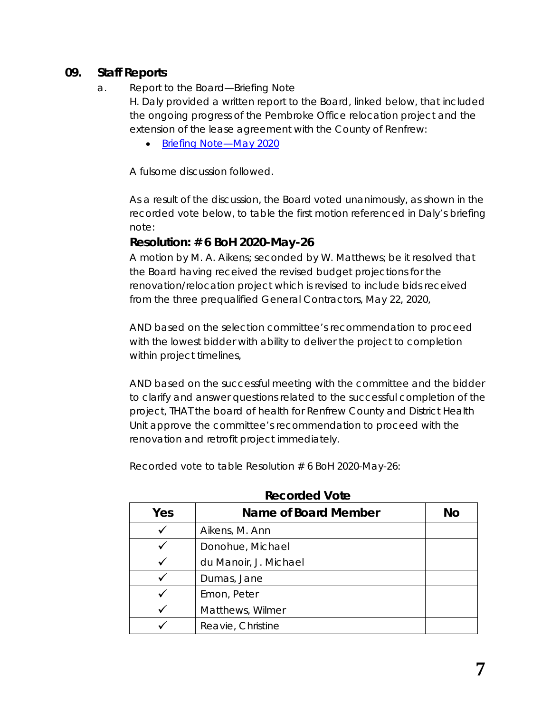## **09. Staff Reports**

#### a. Report to the Board—Briefing Note

H. Daly provided a written report to the Board, linked below, that included the ongoing progress of the Pembroke Office relocation project and the extension of the lease agreement with the County of Renfrew:

• Briefing Note-May 2020

A fulsome discussion followed.

As a result of the discussion, the Board voted unanimously, as shown in the recorded vote below, to table the first motion referenced in Daly's briefing note:

### **Resolution: # 6 BoH 2020-May-26**

A motion by M. A. Aikens; seconded by W. Matthews; be it resolved that the Board having received the revised budget projections for the renovation/relocation project which is revised to include bids received from the three prequalified General Contractors, May 22, 2020,

AND based on the selection committee's recommendation to proceed with the lowest bidder with ability to deliver the project to completion within project timelines,

AND based on the successful meeting with the committee and the bidder to clarify and answer questions related to the successful completion of the project, THAT the board of health for Renfrew County and District Health Unit approve the committee's recommendation to proceed with the renovation and retrofit project immediately.

Recorded vote to table Resolution # 6 BoH 2020-May-26:

| Yes | Name of Board Member  | No |
|-----|-----------------------|----|
|     | Aikens, M. Ann        |    |
|     | Donohue, Michael      |    |
|     | du Manoir, J. Michael |    |
|     | Dumas, Jane           |    |
|     | Emon, Peter           |    |
|     | Matthews, Wilmer      |    |
|     | Reavie, Christine     |    |

**Recorded Vote**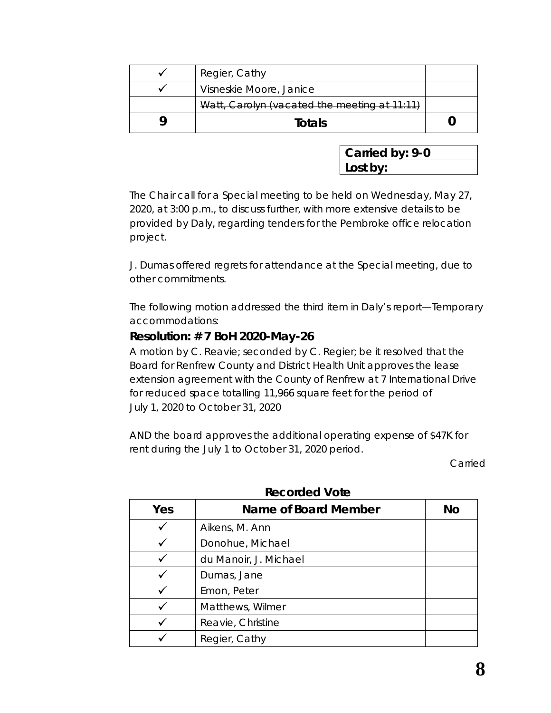| Regier, Cathy                                |  |
|----------------------------------------------|--|
| Visneskie Moore, Janice                      |  |
| Watt, Carolyn (vacated the meeting at 11:11) |  |
| <b>Totals</b>                                |  |

**Carried by: 9-0 Lost by:**

The Chair call for a Special meeting to be held on Wednesday, May 27, 2020, at 3:00 p.m., to discuss further, with more extensive details to be provided by Daly, regarding tenders for the Pembroke office relocation project.

J. Dumas offered regrets for attendance at the Special meeting, due to other commitments.

The following motion addressed the third item in Daly's report—*Temporary accommodations*:

### **Resolution: # 7 BoH 2020-May-26**

A motion by C. Reavie; seconded by C. Regier; be it resolved that the Board for Renfrew County and District Health Unit approves the lease extension agreement with the County of Renfrew at 7 International Drive for reduced space totalling 11,966 square feet for the period of July 1, 2020 to October 31, 2020

AND the board approves the additional operating expense of \$47K for rent during the July 1 to October 31, 2020 period.

Carried

| Yes | Name of Board Member  | <b>No</b> |
|-----|-----------------------|-----------|
|     | Aikens, M. Ann        |           |
|     | Donohue, Michael      |           |
|     | du Manoir, J. Michael |           |
|     | Dumas, Jane           |           |
|     | Emon, Peter           |           |
|     | Matthews, Wilmer      |           |
|     | Reavie, Christine     |           |
|     | Regier, Cathy         |           |

#### **Recorded Vote**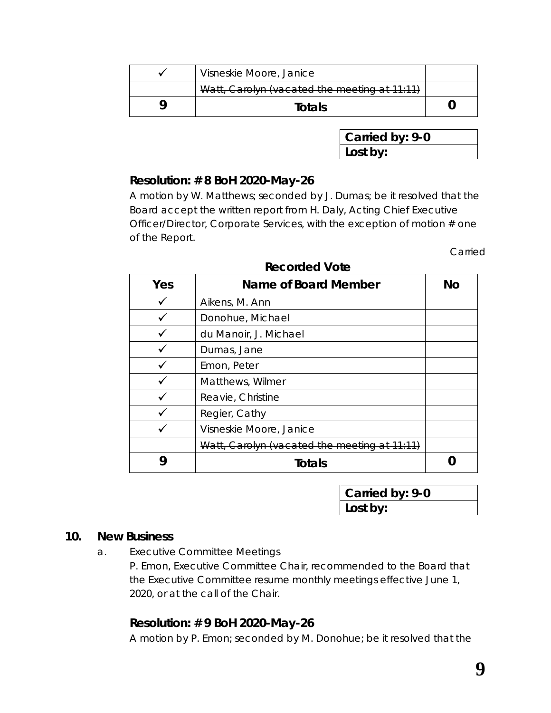| Visneskie Moore, Janice                      |  |
|----------------------------------------------|--|
| Watt, Carolyn (vacated the meeting at 11:11) |  |
| <b>Totals</b>                                |  |

**Carried by: 9-0 Lost by:**

### **Resolution: # 8 BoH 2020-May-26**

A motion by W. Matthews; seconded by J. Dumas; be it resolved that the Board accept the written report from H. Daly, Acting Chief Executive Officer/Director, Corporate Services, with the exception of motion # one of the Report.

Carried

| Yes | Name of Board Member                         | No |
|-----|----------------------------------------------|----|
|     | Aikens, M. Ann                               |    |
|     | Donohue, Michael                             |    |
|     | du Manoir, J. Michael                        |    |
|     | Dumas, Jane                                  |    |
|     | Emon, Peter                                  |    |
|     | Matthews, Wilmer                             |    |
|     | Reavie, Christine                            |    |
|     | Regier, Cathy                                |    |
|     | Visneskie Moore, Janice                      |    |
|     | Watt, Carolyn (vacated the meeting at 11:11) |    |
| g   | <b>Totals</b>                                |    |

**Carried by: 9-0 Lost by:**

#### **10. New Business**

a. Executive Committee Meetings

P. Emon, Executive Committee Chair, recommended to the Board that the Executive Committee resume monthly meetings effective June 1, 2020, or at the call of the Chair.

# **Resolution: # 9 BoH 2020-May-26**

A motion by P. Emon; seconded by M. Donohue; be it resolved that the

### **Recorded Vote**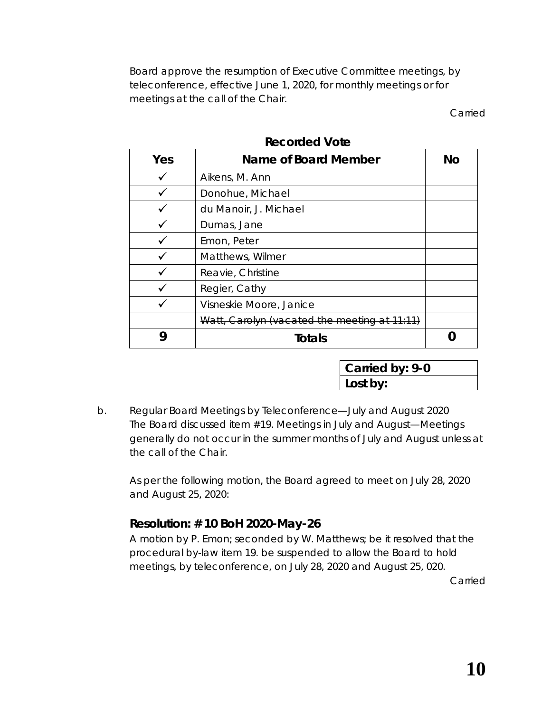Board approve the resumption of Executive Committee meetings, by teleconference, effective June 1, 2020, for monthly meetings or for meetings at the call of the Chair.

Carried

| Yes | Name of Board Member                         | <b>No</b> |
|-----|----------------------------------------------|-----------|
|     | Aikens, M. Ann                               |           |
|     | Donohue, Michael                             |           |
|     | du Manoir, J. Michael                        |           |
|     | Dumas, Jane                                  |           |
|     | Emon, Peter                                  |           |
|     | Matthews, Wilmer                             |           |
|     | Reavie, Christine                            |           |
|     | Regier, Cathy                                |           |
|     | Visneskie Moore, Janice                      |           |
|     | Watt, Carolyn (vacated the meeting at 11:11) |           |
|     | <b>Totals</b>                                |           |

**Recorded Vote**

| Carried by: 9-0 |  |
|-----------------|--|
| Lost by:        |  |

b. Regular Board Meetings by Teleconference—July and August 2020 The Board discussed item #19. *Meetings in July and August*—*Meetings generally do not occur in the summer months of July and August unless at the call of the Chair.*

As per the following motion, the Board agreed to meet on July 28, 2020 and August 25, 2020:

# **Resolution: # 10 BoH 2020-May-26**

A motion by P. Emon; seconded by W. Matthews; be it resolved that the procedural by-law item 19. be suspended to allow the Board to hold meetings, by teleconference, on July 28, 2020 and August 25, 020.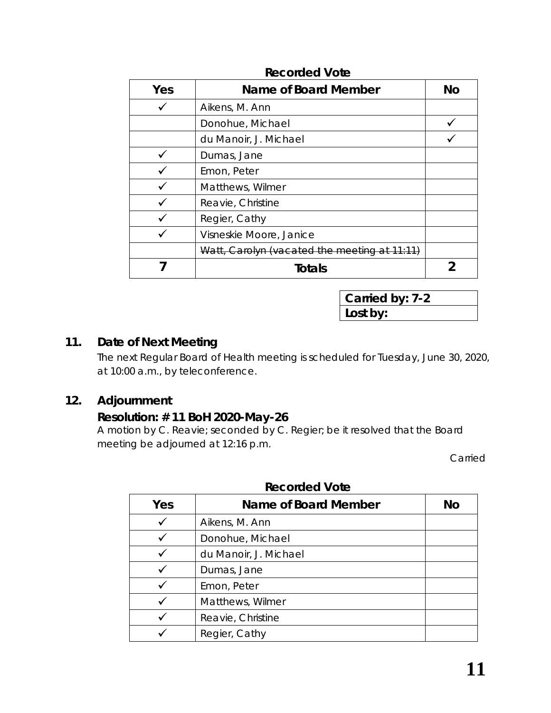| Yes | Name of Board Member                         | No |
|-----|----------------------------------------------|----|
|     | Aikens, M. Ann                               |    |
|     | Donohue, Michael                             |    |
|     | du Manoir, J. Michael                        |    |
|     | Dumas, Jane                                  |    |
|     | Emon, Peter                                  |    |
|     | Matthews, Wilmer                             |    |
|     | Reavie, Christine                            |    |
|     | Regier, Cathy                                |    |
|     | Visneskie Moore, Janice                      |    |
|     | Watt, Carolyn (vacated the meeting at 11:11) |    |
|     | Totals                                       |    |

**Carried by: 7-2 Lost by:**

# **11. Date of Next Meeting**

The next Regular Board of Health meeting is scheduled for Tuesday, June 30, 2020, at 10:00 a.m., by teleconference.

### **12. Adjournment**

### **Resolution: # 11 BoH 2020-May-26**

A motion by C. Reavie; seconded by C. Regier; be it resolved that the Board meeting be adjourned at 12:16 p.m.

Carried

| Yes | Name of Board Member  | Νo |
|-----|-----------------------|----|
|     | Aikens, M. Ann        |    |
|     | Donohue, Michael      |    |
|     | du Manoir, J. Michael |    |
|     | Dumas, Jane           |    |
|     | Emon, Peter           |    |
|     | Matthews, Wilmer      |    |
|     | Reavie, Christine     |    |
|     | Regier, Cathy         |    |

### **Recorded Vote**